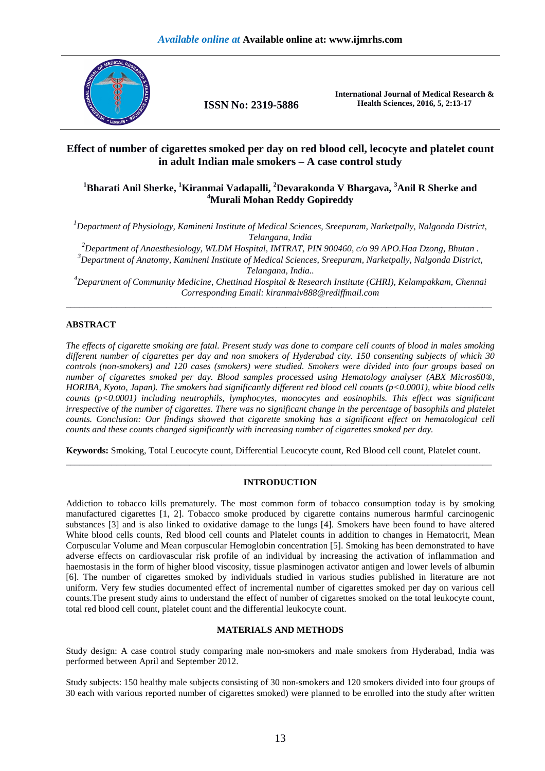

**ISSN No: 2319-5886** 

**International Journal of Medical Research & Health Sciences, 2016, 5, 2:13-17** 

# **Effect of number of cigarettes smoked per day on red blood cell, lecocyte and platelet count in adult Indian male smokers – A case control study**

# **<sup>1</sup>Bharati Anil Sherke, <sup>1</sup>Kiranmai Vadapalli, <sup>2</sup>Devarakonda V Bhargava, <sup>3</sup>Anil R Sherke and <sup>4</sup>Murali Mohan Reddy Gopireddy**

*<sup>1</sup>Department of Physiology, Kamineni Institute of Medical Sciences, Sreepuram, Narketpally, Nalgonda District, Telangana, India* 

*<sup>2</sup>Department of Anaesthesiology, WLDM Hospital, IMTRAT, PIN 900460, c/o 99 APO.Haa Dzong, Bhutan .* 

*<sup>3</sup>Department of Anatomy, Kamineni Institute of Medical Sciences, Sreepuram, Narketpally, Nalgonda District, Telangana, India..* 

*<sup>4</sup>Department of Community Medicine, Chettinad Hospital & Research Institute (CHRI), Kelampakkam, Chennai Corresponding Email: kiranmaiv888@rediffmail.com*  \_\_\_\_\_\_\_\_\_\_\_\_\_\_\_\_\_\_\_\_\_\_\_\_\_\_\_\_\_\_\_\_\_\_\_\_\_\_\_\_\_\_\_\_\_\_\_\_\_\_\_\_\_\_\_\_\_\_\_\_\_\_\_\_\_\_\_\_\_\_\_\_\_\_\_\_\_\_\_\_\_\_\_\_\_\_\_\_\_\_\_\_\_

## **ABSTRACT**

*The effects of cigarette smoking are fatal. Present study was done to compare cell counts of blood in males smoking different number of cigarettes per day and non smokers of Hyderabad city. 150 consenting subjects of which 30 controls (non-smokers) and 120 cases (smokers) were studied. Smokers were divided into four groups based on number of cigarettes smoked per day. Blood samples processed using Hematology analyser (ABX Micros60®, HORIBA, Kyoto, Japan). The smokers had significantly different red blood cell counts (p<0.0001), white blood cells counts (p<0.0001) including neutrophils, lymphocytes, monocytes and eosinophils. This effect was significant irrespective of the number of cigarettes. There was no significant change in the percentage of basophils and platelet counts. Conclusion: Our findings showed that cigarette smoking has a significant effect on hematological cell counts and these counts changed significantly with increasing number of cigarettes smoked per day.* 

**Keywords:** Smoking, Total Leucocyte count, Differential Leucocyte count, Red Blood cell count, Platelet count. \_\_\_\_\_\_\_\_\_\_\_\_\_\_\_\_\_\_\_\_\_\_\_\_\_\_\_\_\_\_\_\_\_\_\_\_\_\_\_\_\_\_\_\_\_\_\_\_\_\_\_\_\_\_\_\_\_\_\_\_\_\_\_\_\_\_\_\_\_\_\_\_\_\_\_\_\_\_\_\_\_\_\_\_\_\_\_\_\_\_\_\_\_

## **INTRODUCTION**

Addiction to tobacco kills prematurely. The most common form of tobacco consumption today is by smoking manufactured cigarettes [1, 2]. Tobacco smoke produced by cigarette contains numerous harmful carcinogenic substances [3] and is also linked to oxidative damage to the lungs [4]. Smokers have been found to have altered White blood cells counts, Red blood cell counts and Platelet counts in addition to changes in Hematocrit, Mean Corpuscular Volume and Mean corpuscular Hemoglobin concentration [5]. Smoking has been demonstrated to have adverse effects on cardiovascular risk profile of an individual by increasing the activation of inflammation and haemostasis in the form of higher blood viscosity, tissue plasminogen activator antigen and lower levels of albumin [6]. The number of cigarettes smoked by individuals studied in various studies published in literature are not uniform. Very few studies documented effect of incremental number of cigarettes smoked per day on various cell counts.The present study aims to understand the effect of number of cigarettes smoked on the total leukocyte count, total red blood cell count, platelet count and the differential leukocyte count.

### **MATERIALS AND METHODS**

Study design: A case control study comparing male non-smokers and male smokers from Hyderabad, India was performed between April and September 2012.

Study subjects: 150 healthy male subjects consisting of 30 non-smokers and 120 smokers divided into four groups of 30 each with various reported number of cigarettes smoked) were planned to be enrolled into the study after written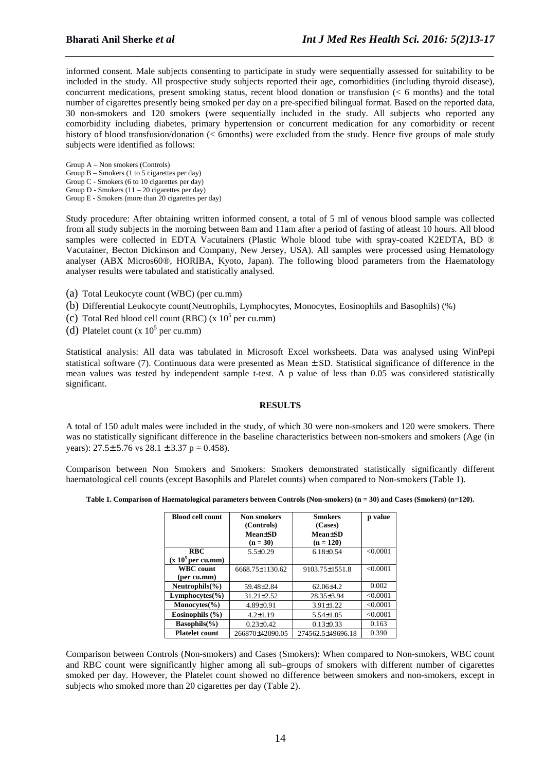informed consent. Male subjects consenting to participate in study were sequentially assessed for suitability to be included in the study. All prospective study subjects reported their age, comorbidities (including thyroid disease), concurrent medications, present smoking status, recent blood donation or transfusion (< 6 months) and the total number of cigarettes presently being smoked per day on a pre-specified bilingual format. Based on the reported data, 30 non-smokers and 120 smokers (were sequentially included in the study. All subjects who reported any comorbidity including diabetes, primary hypertension or concurrent medication for any comorbidity or recent history of blood transfusion/donation (< 6months) were excluded from the study. Hence five groups of male study subjects were identified as follows:

*\_\_\_\_\_\_\_\_\_\_\_\_\_\_\_\_\_\_\_\_\_\_\_\_\_\_\_\_\_\_\_\_\_\_\_\_\_\_\_\_\_\_\_\_\_\_\_\_\_\_\_\_\_\_\_\_\_\_\_\_\_\_\_\_\_\_\_\_\_\_\_\_\_\_\_\_\_\_*

Group A – Non smokers (Controls) Group  $B -$  Smokers (1 to 5 cigarettes per day) Group C - Smokers (6 to 10 cigarettes per day) Group D - Smokers  $(11 – 20$  cigarettes per day) Group E - Smokers (more than 20 cigarettes per day)

Study procedure: After obtaining written informed consent, a total of 5 ml of venous blood sample was collected from all study subjects in the morning between 8am and 11am after a period of fasting of atleast 10 hours. All blood samples were collected in EDTA Vacutainers (Plastic Whole blood tube with spray-coated K2EDTA, BD ® Vacutainer, Becton Dickinson and Company, New Jersey, USA). All samples were processed using Hematology analyser (ABX Micros60®, HORIBA, Kyoto, Japan). The following blood parameters from the Haematology analyser results were tabulated and statistically analysed.

- (a) Total Leukocyte count (WBC) (per cu.mm)
- (b) Differential Leukocyte count(Neutrophils, Lymphocytes, Monocytes, Eosinophils and Basophils) (%)
- (c) Total Red blood cell count (RBC) (x  $10^5$  per cu.mm)
- (d) Platelet count  $(x 10^5$  per cu.mm)

Statistical analysis: All data was tabulated in Microsoft Excel worksheets. Data was analysed using WinPepi statistical software (7). Continuous data were presented as Mean ± SD. Statistical significance of difference in the mean values was tested by independent sample t-test. A p value of less than 0.05 was considered statistically significant.

#### **RESULTS**

A total of 150 adult males were included in the study, of which 30 were non-smokers and 120 were smokers. There was no statistically significant difference in the baseline characteristics between non-smokers and smokers (Age (in years):  $27.5 \pm 5.76$  vs  $28.1 \pm 3.37$  p = 0.458).

Comparison between Non Smokers and Smokers: Smokers demonstrated statistically significantly different haematological cell counts (except Basophils and Platelet counts) when compared to Non-smokers (Table 1).

**Table 1. Comparison of Haematological parameters between Controls (Non-smokers) (n = 30) and Cases (Smokers) (n=120).** 

| <b>Blood cell count</b>              | Non smokers<br>(Controls) | <b>Smokers</b><br>(Cases) | p value  |
|--------------------------------------|---------------------------|---------------------------|----------|
|                                      | <b>Mean</b> tSD           | <b>Mean</b> tSD           |          |
|                                      | $(n = 30)$                | $(n = 120)$               |          |
| <b>RBC</b>                           | $5.5 \pm 0.29$            | $6.18 \pm 0.54$           | < 0.0001 |
| $(x 105$ per cu.mm)                  |                           |                           |          |
| <b>WBC</b> count                     | 6668.75±1130.62           | 9103.75±1551.8            | < 0.0001 |
| (per cu.mm)                          |                           |                           |          |
| Neutrophils $(\% )$                  | 59.48±2.84                | $62.06{\pm}4.2$           | 0.002    |
| $Lymphocytes(\% )$                   | $31.21 \pm 2.52$          | 28.35±3.94                | < 0.0001 |
| Monocytes $\left(\frac{9}{6}\right)$ | 4.89±0.91                 | $3.91 \pm 1.22$           | < 0.0001 |
| Eosinophils $(\% )$                  | $4.2 \pm 1.19$            | $5.54 \pm 1.05$           | < 0.0001 |
| $Basophils(\% )$                     | $0.23 \pm 0.42$           | $0.13 \pm 0.33$           | 0.163    |
| <b>Platelet count</b>                | 266870±42090.05           | 274562.5±49696.18         | 0.390    |

Comparison between Controls (Non-smokers) and Cases (Smokers): When compared to Non-smokers, WBC count and RBC count were significantly higher among all sub–groups of smokers with different number of cigarettes smoked per day. However, the Platelet count showed no difference between smokers and non-smokers, except in subjects who smoked more than 20 cigarettes per day (Table 2).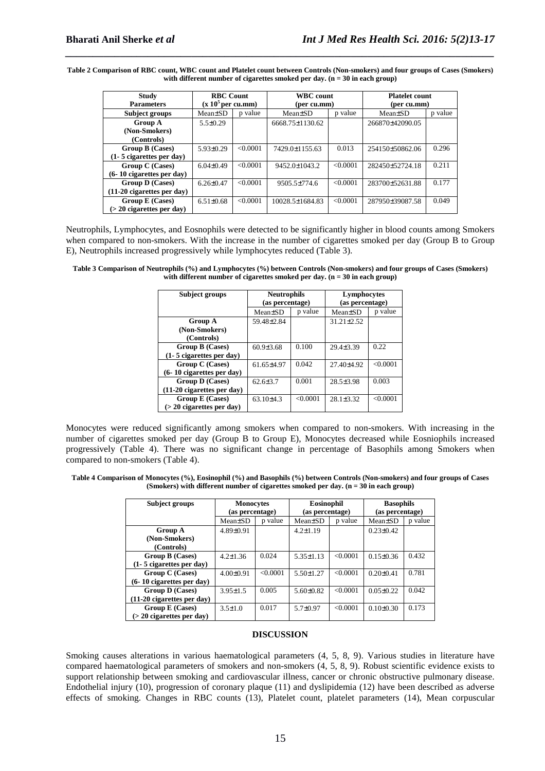**Table 2 Comparison of RBC count, WBC count and Platelet count between Controls (Non-smokers) and four groups of Cases (Smokers) with different number of cigarettes smoked per day. (n = 30 in each group)** 

*\_\_\_\_\_\_\_\_\_\_\_\_\_\_\_\_\_\_\_\_\_\_\_\_\_\_\_\_\_\_\_\_\_\_\_\_\_\_\_\_\_\_\_\_\_\_\_\_\_\_\_\_\_\_\_\_\_\_\_\_\_\_\_\_\_\_\_\_\_\_\_\_\_\_\_\_\_\_*

| <b>Study</b>                 | <b>RBC</b> Count    |          | <b>WBC</b> count     |         | <b>Platelet count</b> |         |
|------------------------------|---------------------|----------|----------------------|---------|-----------------------|---------|
| <b>Parameters</b>            | $(x 105$ per cu.mm) |          | (per cu.mm)          |         | (per cu.mm)           |         |
| <b>Subject groups</b>        | Mean±SD             | p value  | Mean <sup>+</sup> SD | p value | $Mean \pm SD$         | p value |
| <b>Group A</b>               | $5.5 \pm 0.29$      |          | 6668.75±1130.62      |         | 266870±42090.05       |         |
| (Non-Smokers)                |                     |          |                      |         |                       |         |
| (Controls)                   |                     |          |                      |         |                       |         |
| Group B (Cases)              | $5.93\pm0.29$       | < 0.0001 | 7429.0±1155.63       | 0.013   | 254150±50862.06       | 0.296   |
| $(1-5$ cigarettes per day)   |                     |          |                      |         |                       |         |
| Group C (Cases)              | $6.04\pm0.49$       | < 0.0001 | 9452.0±1043.2        | <0.0001 | 282450±52724.18       | 0.211   |
| $(6-10$ cigarettes per day)  |                     |          |                      |         |                       |         |
| Group D (Cases)              | $6.26 \pm 0.47$     | < 0.0001 | $9505.5 \pm 774.6$   | <0.0001 | 283700±52631.88       | 0.177   |
| $(11-20$ cigarettes per day) |                     |          |                      |         |                       |         |
| Group E (Cases)              | $6.51 \pm 0.68$     | < 0.0001 | 10028.5±1684.83      | <0.0001 | 287950±39087.58       | 0.049   |
| $(> 20$ cigarettes per day)  |                     |          |                      |         |                       |         |

Neutrophils, Lymphocytes, and Eosnophils were detected to be significantly higher in blood counts among Smokers when compared to non-smokers. With the increase in the number of cigarettes smoked per day (Group B to Group E), Neutrophils increased progressively while lymphocytes reduced (Table 3).

**Table 3 Comparison of Neutrophils (%) and Lymphocytes (%) between Controls (Non-smokers) and four groups of Cases (Smokers)**  with different number of cigarettes smoked per day. (n = 30 in each group)

| <b>Subject groups</b>        | <b>Neutrophils</b><br>(as percentage) |         | Lymphocytes<br>(as percentage) |          |  |
|------------------------------|---------------------------------------|---------|--------------------------------|----------|--|
|                              | Mean±SD                               | p value | Mean±SD                        | p value  |  |
| <b>Group A</b>               | 59.48 ± 2.84                          |         | $31.21 \pm 2.52$               |          |  |
| (Non-Smokers)                |                                       |         |                                |          |  |
| (Controls)                   |                                       |         |                                |          |  |
| Group B (Cases)              | $60.9{\pm}3.68$                       | 0.100   | $29.4 \pm 3.39$                | 0.22     |  |
| $(1-5$ cigarettes per day)   |                                       |         |                                |          |  |
| Group C (Cases)              | $61.65 + 4.97$                        | 0.042   | $27.40 + 4.92$                 | < 0.0001 |  |
| $(6-10$ cigarettes per day)  |                                       |         |                                |          |  |
| Group D (Cases)              | $62.6 \pm 3.7$                        | 0.001   | $28.5 \pm 3.98$                | 0.003    |  |
| $(11-20$ cigarettes per day) |                                       |         |                                |          |  |
| Group E (Cases)              | $63.10 + 4.3$                         | <0.0001 | $28.1 \pm 3.32$                | < 0.0001 |  |
| $(> 20$ cigarettes per day)  |                                       |         |                                |          |  |

Monocytes were reduced significantly among smokers when compared to non-smokers. With increasing in the number of cigarettes smoked per day (Group B to Group E), Monocytes decreased while Eosniophils increased progressively (Table 4). There was no significant change in percentage of Basophils among Smokers when compared to non-smokers (Table 4).

**Table 4 Comparison of Monocytes (%), Eosinophil (%) and Basophils (%) between Controls (Non-smokers) and four groups of Cases (Smokers) with different number of cigarettes smoked per day. (n = 30 in each group)** 

| Subject groups               | <b>Monocytes</b>     |          | Eosinophil      |         | <b>Basophils</b> |         |
|------------------------------|----------------------|----------|-----------------|---------|------------------|---------|
|                              | (as percentage)      |          | (as percentage) |         | (as percentage)  |         |
|                              | Mean <sup>+</sup> SD | p value  | $Mean \pm SD$   | p value | Mean±SD          | p value |
| <b>Group A</b>               | $4.89 \pm 0.91$      |          | $4.2 \pm 1.19$  |         | $0.23 \pm 0.42$  |         |
| (Non-Smokers)                |                      |          |                 |         |                  |         |
| (Controls)                   |                      |          |                 |         |                  |         |
| Group B (Cases)              | $4.2 \pm 1.36$       | 0.024    | $5.35 \pm 1.13$ | <0.0001 | $0.15 \pm 0.36$  | 0.432   |
| $(1-5$ cigarettes per day)   |                      |          |                 |         |                  |         |
| Group C (Cases)              | $4.00 \pm 0.91$      | < 0.0001 | $5.50 \pm 1.27$ | <0.0001 | $0.20 \pm 0.41$  | 0.781   |
| $(6-10$ cigarettes per day)  |                      |          |                 |         |                  |         |
| <b>Group D</b> (Cases)       | $3.95 \pm 1.5$       | 0.005    | $5.60 \pm 0.82$ | <0.0001 | $0.05 \pm 0.22$  | 0.042   |
| $(11-20$ cigarettes per day) |                      |          |                 |         |                  |         |
| Group E (Cases)              | $3.5 \pm 1.0$        | 0.017    | $5.7 \pm 0.97$  | <0.0001 | $0.10 \pm 0.30$  | 0.173   |
| $(> 20$ cigarettes per day)  |                      |          |                 |         |                  |         |

#### **DISCUSSION**

Smoking causes alterations in various haematological parameters (4, 5, 8, 9). Various studies in literature have compared haematological parameters of smokers and non-smokers (4, 5, 8, 9). Robust scientific evidence exists to support relationship between smoking and cardiovascular illness, cancer or chronic obstructive pulmonary disease. Endothelial injury (10), progression of coronary plaque (11) and dyslipidemia (12) have been described as adverse effects of smoking. Changes in RBC counts (13), Platelet count, platelet parameters (14), Mean corpuscular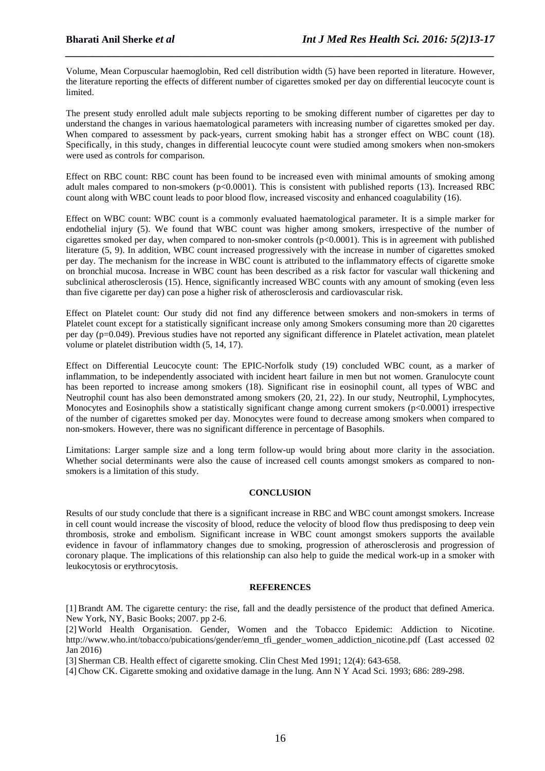Volume, Mean Corpuscular haemoglobin, Red cell distribution width (5) have been reported in literature. However, the literature reporting the effects of different number of cigarettes smoked per day on differential leucocyte count is limited.

*\_\_\_\_\_\_\_\_\_\_\_\_\_\_\_\_\_\_\_\_\_\_\_\_\_\_\_\_\_\_\_\_\_\_\_\_\_\_\_\_\_\_\_\_\_\_\_\_\_\_\_\_\_\_\_\_\_\_\_\_\_\_\_\_\_\_\_\_\_\_\_\_\_\_\_\_\_\_*

The present study enrolled adult male subjects reporting to be smoking different number of cigarettes per day to understand the changes in various haematological parameters with increasing number of cigarettes smoked per day. When compared to assessment by pack-years, current smoking habit has a stronger effect on WBC count (18). Specifically, in this study, changes in differential leucocyte count were studied among smokers when non-smokers were used as controls for comparison.

Effect on RBC count: RBC count has been found to be increased even with minimal amounts of smoking among adult males compared to non-smokers (p<0.0001). This is consistent with published reports (13). Increased RBC count along with WBC count leads to poor blood flow, increased viscosity and enhanced coagulability (16).

Effect on WBC count: WBC count is a commonly evaluated haematological parameter. It is a simple marker for endothelial injury (5). We found that WBC count was higher among smokers, irrespective of the number of cigarettes smoked per day, when compared to non-smoker controls (p<0.0001). This is in agreement with published literature (5, 9). In addition, WBC count increased progressively with the increase in number of cigarettes smoked per day. The mechanism for the increase in WBC count is attributed to the inflammatory effects of cigarette smoke on bronchial mucosa. Increase in WBC count has been described as a risk factor for vascular wall thickening and subclinical atherosclerosis (15). Hence, significantly increased WBC counts with any amount of smoking (even less than five cigarette per day) can pose a higher risk of atherosclerosis and cardiovascular risk.

Effect on Platelet count: Our study did not find any difference between smokers and non-smokers in terms of Platelet count except for a statistically significant increase only among Smokers consuming more than 20 cigarettes per day (p=0.049). Previous studies have not reported any significant difference in Platelet activation, mean platelet volume or platelet distribution width (5, 14, 17).

Effect on Differential Leucocyte count: The EPIC-Norfolk study (19) concluded WBC count, as a marker of inflammation, to be independently associated with incident heart failure in men but not women. Granulocyte count has been reported to increase among smokers (18). Significant rise in eosinophil count, all types of WBC and Neutrophil count has also been demonstrated among smokers (20, 21, 22). In our study, Neutrophil, Lymphocytes, Monocytes and Eosinophils show a statistically significant change among current smokers (p<0.0001) irrespective of the number of cigarettes smoked per day. Monocytes were found to decrease among smokers when compared to non-smokers. However, there was no significant difference in percentage of Basophils.

Limitations: Larger sample size and a long term follow-up would bring about more clarity in the association. Whether social determinants were also the cause of increased cell counts amongst smokers as compared to nonsmokers is a limitation of this study.

### **CONCLUSION**

Results of our study conclude that there is a significant increase in RBC and WBC count amongst smokers. Increase in cell count would increase the viscosity of blood, reduce the velocity of blood flow thus predisposing to deep vein thrombosis, stroke and embolism. Significant increase in WBC count amongst smokers supports the available evidence in favour of inflammatory changes due to smoking, progression of atherosclerosis and progression of coronary plaque. The implications of this relationship can also help to guide the medical work-up in a smoker with leukocytosis or erythrocytosis.

### **REFERENCES**

[1] Brandt AM. The cigarette century: the rise, fall and the deadly persistence of the product that defined America. New York, NY, Basic Books; 2007. pp 2-6.

[2] World Health Organisation. Gender, Women and the Tobacco Epidemic: Addiction to Nicotine. http://www.who.int/tobacco/pubications/gender/emn\_tfi\_gender\_women\_addiction\_nicotine.pdf (Last accessed 02) Jan 2016)

[3] Sherman CB. Health effect of cigarette smoking. Clin Chest Med 1991; 12(4): 643-658.

[4] Chow CK. Cigarette smoking and oxidative damage in the lung. Ann N Y Acad Sci. 1993; 686: 289-298.